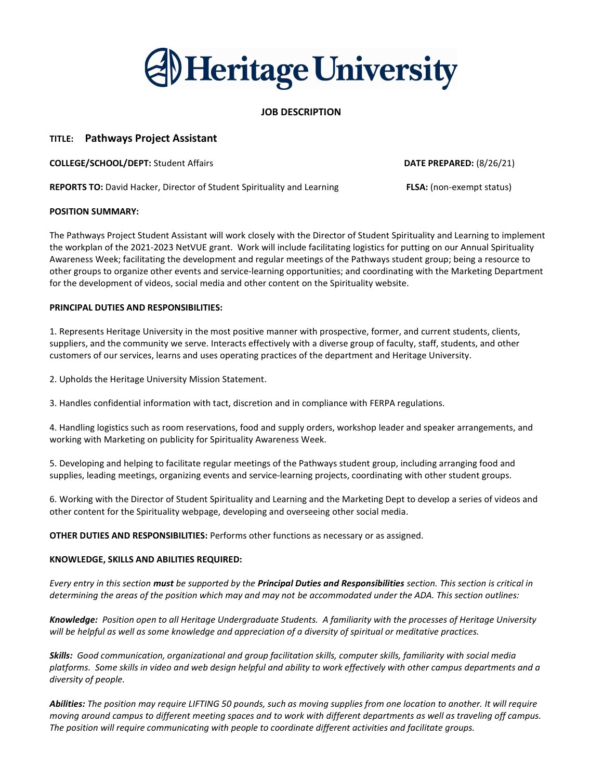# **DHeritage University**

### JOB DESCRIPTION

## TITLE: Pathways Project Assistant

COLLEGE/SCHOOL/DEPT: Student Affairs **DATE PREPARED: (8/26/21)** DATE PREPARED: (8/26/21)

REPORTS TO: David Hacker, Director of Student Spirituality and Learning FLSA: (non-exempt status)

#### POSITION SUMMARY:

The Pathways Project Student Assistant will work closely with the Director of Student Spirituality and Learning to implement the workplan of the 2021-2023 NetVUE grant. Work will include facilitating logistics for putting on our Annual Spirituality Awareness Week; facilitating the development and regular meetings of the Pathways student group; being a resource to other groups to organize other events and service-learning opportunities; and coordinating with the Marketing Department for the development of videos, social media and other content on the Spirituality website.

#### PRINCIPAL DUTIES AND RESPONSIBILITIES:

1. Represents Heritage University in the most positive manner with prospective, former, and current students, clients, suppliers, and the community we serve. Interacts effectively with a diverse group of faculty, staff, students, and other customers of our services, learns and uses operating practices of the department and Heritage University.

2. Upholds the Heritage University Mission Statement.

3. Handles confidential information with tact, discretion and in compliance with FERPA regulations.

4. Handling logistics such as room reservations, food and supply orders, workshop leader and speaker arrangements, and working with Marketing on publicity for Spirituality Awareness Week.

5. Developing and helping to facilitate regular meetings of the Pathways student group, including arranging food and supplies, leading meetings, organizing events and service-learning projects, coordinating with other student groups.

6. Working with the Director of Student Spirituality and Learning and the Marketing Dept to develop a series of videos and other content for the Spirituality webpage, developing and overseeing other social media.

OTHER DUTIES AND RESPONSIBILITIES: Performs other functions as necessary or as assigned.

#### KNOWLEDGE, SKILLS AND ABILITIES REQUIRED:

Every entry in this section must be supported by the Principal Duties and Responsibilities section. This section is critical in determining the areas of the position which may and may not be accommodated under the ADA. This section outlines:

Knowledge: Position open to all Heritage Undergraduate Students. A familiarity with the processes of Heritage University will be helpful as well as some knowledge and appreciation of a diversity of spiritual or meditative practices.

Skills: Good communication, organizational and group facilitation skills, computer skills, familiarity with social media platforms. Some skills in video and web design helpful and ability to work effectively with other campus departments and a diversity of people.

Abilities: The position may require LIFTING 50 pounds, such as moving supplies from one location to another. It will require moving around campus to different meeting spaces and to work with different departments as well as traveling off campus. The position will require communicating with people to coordinate different activities and facilitate groups.